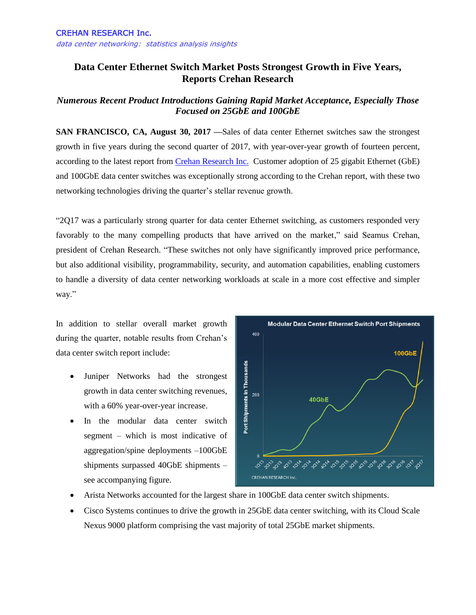## **Data Center Ethernet Switch Market Posts Strongest Growth in Five Years, Reports Crehan Research**

## *Numerous Recent Product Introductions Gaining Rapid Market Acceptance, Especially Those Focused on 25GbE and 100GbE*

**SAN FRANCISCO, CA, August 30, 2017 —**Sales of data center Ethernet switches saw the strongest growth in five years during the second quarter of 2017, with year-over-year growth of fourteen percent, according to the latest report from [Crehan Research](http://www.crehanresearch.com/) Inc. Customer adoption of 25 gigabit Ethernet (GbE) and 100GbE data center switches was exceptionally strong according to the Crehan report, with these two networking technologies driving the quarter's stellar revenue growth.

"2Q17 was a particularly strong quarter for data center Ethernet switching, as customers responded very favorably to the many compelling products that have arrived on the market," said Seamus Crehan, president of Crehan Research. "These switches not only have significantly improved price performance, but also additional visibility, programmability, security, and automation capabilities, enabling customers to handle a diversity of data center networking workloads at scale in a more cost effective and simpler way."

In addition to stellar overall market growth during the quarter, notable results from Crehan's data center switch report include:

- Juniper Networks had the strongest growth in data center switching revenues, with a 60% year-over-year increase.
- In the modular data center switch segment – which is most indicative of aggregation/spine deployments –100GbE shipments surpassed 40GbE shipments – see accompanying figure.



- Arista Networks accounted for the largest share in 100GbE data center switch shipments.
- Cisco Systems continues to drive the growth in 25GbE data center switching, with its Cloud Scale Nexus 9000 platform comprising the vast majority of total 25GbE market shipments.